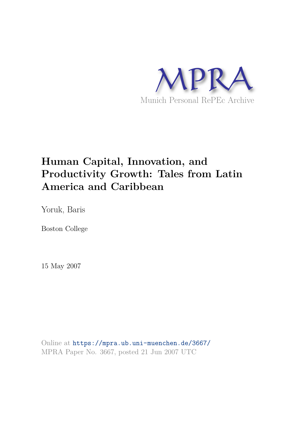

## **Human Capital, Innovation, and Productivity Growth: Tales from Latin America and Caribbean**

Yoruk, Baris

Boston College

15 May 2007

Online at https://mpra.ub.uni-muenchen.de/3667/ MPRA Paper No. 3667, posted 21 Jun 2007 UTC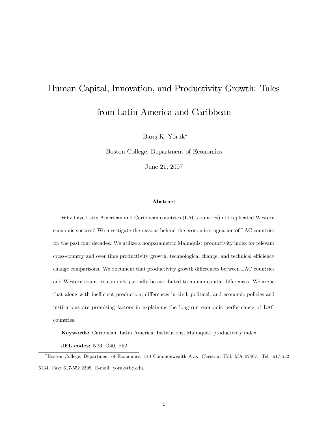# Human Capital, Innovation, and Productivity Growth: Tales from Latin America and Caribbean

Barış K. Yörük\*

Boston College, Department of Economics

June 21, 2007

#### Abstract

Why have Latin American and Caribbean countries (LAC countries) not replicated Western economic success? We investigate the reasons behind the economic stagnation of LAC countries for the past four decades. We utilize a nonparametric Malmquist productivity index for relevant cross-country and over time productivity growth, technological change, and technical efficiency change comparisons. We document that productivity growth differences between LAC countries and Western countries can only partially be attributed to human capital differences. We argue that along with inefficient production, differences in civil, political, and economic policies and institutions are promising factors in explaining the long-run economic performance of LAC countries.

Keywords: Caribbean, Latin America, Institutions, Malmquist productivity index

JEL codes: N26, O40, P52

Boston College, Department of Economics, 140 Commonwealth Ave., Chestnut Hill, MA 02467. Tel: 617-552 6134. Fax: 617-552 2308. E-mail: yoruk@bc.edu.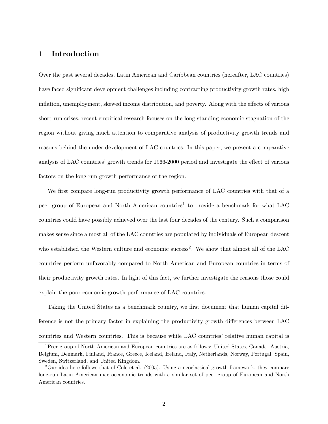#### 1 Introduction

Over the past several decades, Latin American and Caribbean countries (hereafter, LAC countries) have faced significant development challenges including contracting productivity growth rates, high inflation, unemployment, skewed income distribution, and poverty. Along with the effects of various short-run crises, recent empirical research focuses on the long-standing economic stagnation of the region without giving much attention to comparative analysis of productivity growth trends and reasons behind the under-development of LAC countries. In this paper, we present a comparative analysis of LAC countries' growth trends for 1966-2000 period and investigate the effect of various factors on the long-run growth performance of the region.

We first compare long-run productivity growth performance of LAC countries with that of a peer group of European and North American countries<sup>1</sup> to provide a benchmark for what LAC countries could have possibly achieved over the last four decades of the century. Such a comparison makes sense since almost all of the LAC countries are populated by individuals of European descent who established the Western culture and economic success<sup>2</sup>. We show that almost all of the LAC countries perform unfavorably compared to North American and European countries in terms of their productivity growth rates. In light of this fact, we further investigate the reasons those could explain the poor economic growth performance of LAC countries.

Taking the United States as a benchmark country, we first document that human capital difference is not the primary factor in explaining the productivity growth differences between LAC countries and Western countries. This is because while LAC countriesí relative human capital is

<sup>1</sup>Peer group of North American and European countries are as follows: United States, Canada, Austria, Belgium, Denmark, Finland, France, Greece, Iceland, Ireland, Italy, Netherlands, Norway, Portugal, Spain, Sweden, Switzerland, and United Kingdom.

<sup>2</sup>Our idea here follows that of Cole et al. (2005). Using a neoclassical growth framework, they compare long-run Latin American macroeconomic trends with a similar set of peer group of European and North American countries.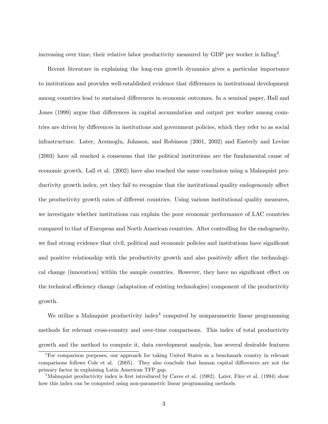increasing over time, their relative labor productivity measured by GDP per worker is falling<sup>3</sup>.

Recent literature in explaining the long-run growth dynamics gives a particular importance to institutions and provides well-established evidence that differences in institutional development among countries lead to sustained differences in economic outcomes. In a seminal paper, Hall and Jones (1999) argue that differences in capital accumulation and output per worker among countries are driven by differences in institutions and government policies, which they refer to as social infrastructure. Later, Acemoglu, Johnson, and Robinson (2001, 2002) and Easterly and Levine (2003) have all reached a consensus that the political institutions are the fundamental cause of economic growth. Lall et al. (2002) have also reached the same conclusion using a Malmquist productivity growth index, yet they fail to recognize that the institutional quality endogenously affect the productivity growth rates of different countries. Using various institutional quality measures, we investigate whether institutions can explain the poor economic performance of LAC countries compared to that of European and North American countries. After controlling for the endogeneity, we find strong evidence that civil, political and economic policies and institutions have significant and positive relationship with the productivity growth and also positively affect the technological change (innovation) within the sample countries. However, they have no significant effect on the technical efficiency change (adaptation of existing technologies) component of the productivity growth.

We utilize a Malmquist productivity index<sup>4</sup> computed by nonparametric linear programming methods for relevant cross-country and over-time comparisons. This index of total productivity growth and the method to compute it, data envelopment analysis, has several desirable features

<sup>3</sup>For comparison purposes, our approach for taking United States as a benchmark country in relevant comparisons follows Cole et al. (2005). They also conclude that human capital differences are not the primary factor in explaining Latin American TFP gap.

 $4$ Malmquist productivity index is first introduced by Caves et al. (1982). Later, Färe et al. (1994) show how this index can be computed using non-parametric linear programming methods.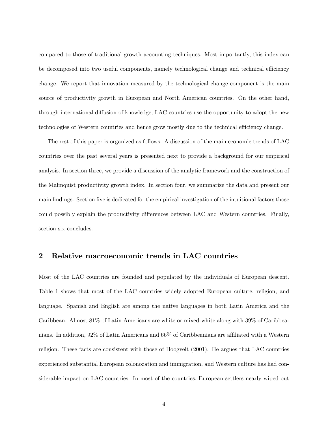compared to those of traditional growth accounting techniques. Most importantly, this index can be decomposed into two useful components, namely technological change and technical efficiency change. We report that innovation measured by the technological change component is the main source of productivity growth in European and North American countries. On the other hand, through international diffusion of knowledge, LAC countries use the opportunity to adopt the new technologies of Western countries and hence grow mostly due to the technical efficiency change.

The rest of this paper is organized as follows. A discussion of the main economic trends of LAC countries over the past several years is presented next to provide a background for our empirical analysis. In section three, we provide a discussion of the analytic framework and the construction of the Malmquist productivity growth index. In section four, we summarize the data and present our main findings. Section five is dedicated for the empirical investigation of the intuitional factors those could possibly explain the productivity differences between LAC and Western countries. Finally, section six concludes.

#### 2 Relative macroeconomic trends in LAC countries

Most of the LAC countries are founded and populated by the individuals of European descent. Table 1 shows that most of the LAC countries widely adopted European culture, religion, and language. Spanish and English are among the native languages in both Latin America and the Caribbean. Almost 81% of Latin Americans are white or mixed-white along with 39% of Caribbeanians. In addition, 92% of Latin Americans and 66% of Caribbeanians are affiliated with a Western religion. These facts are consistent with those of Hoogvelt (2001). He argues that LAC countries experienced substantial European colonozation and immigration, and Western culture has had considerable impact on LAC countries. In most of the countries, European settlers nearly wiped out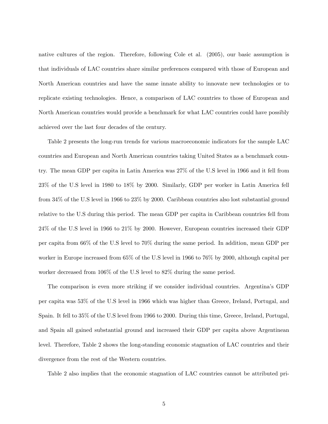native cultures of the region. Therefore, following Cole et al. (2005), our basic assumption is that individuals of LAC countries share similar preferences compared with those of European and North American countries and have the same innate ability to innovate new technologies or to replicate existing technologies. Hence, a comparison of LAC countries to those of European and North American countries would provide a benchmark for what LAC countries could have possibly achieved over the last four decades of the century.

Table 2 presents the long-run trends for various macroeconomic indicators for the sample LAC countries and European and North American countries taking United States as a benchmark country. The mean GDP per capita in Latin America was 27% of the U.S level in 1966 and it fell from 23% of the U.S level in 1980 to 18% by 2000. Similarly, GDP per worker in Latin America fell from 34% of the U.S level in 1966 to 23% by 2000. Caribbean countries also lost substantial ground relative to the U.S during this period. The mean GDP per capita in Caribbean countries fell from 24% of the U.S level in 1966 to 21% by 2000. However, European countries increased their GDP per capita from 66% of the U.S level to 70% during the same period. In addition, mean GDP per worker in Europe increased from 65% of the U.S level in 1966 to 76% by 2000, although capital per worker decreased from 106% of the U.S level to 82% during the same period.

The comparison is even more striking if we consider individual countries. Argentinaís GDP per capita was 53% of the U.S level in 1966 which was higher than Greece, Ireland, Portugal, and Spain. It fell to 35% of the U.S level from 1966 to 2000. During this time, Greece, Ireland, Portugal, and Spain all gained substantial ground and increased their GDP per capita above Argentinean level. Therefore, Table 2 shows the long-standing economic stagnation of LAC countries and their divergence from the rest of the Western countries.

Table 2 also implies that the economic stagnation of LAC countries cannot be attributed pri-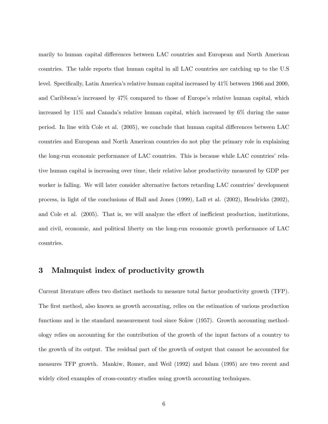marily to human capital differences between LAC countries and European and North American countries. The table reports that human capital in all LAC countries are catching up to the U.S level. Specifically, Latin America's relative human capital increased by  $41\%$  between 1966 and 2000, and Caribbean's increased by  $47\%$  compared to those of Europe's relative human capital, which increased by  $11\%$  and Canada's relative human capital, which increased by  $6\%$  during the same period. In line with Cole et al.  $(2005)$ , we conclude that human capital differences between LAC countries and European and North American countries do not play the primary role in explaining the long-run economic performance of LAC countries. This is because while LAC countriesí relative human capital is increasing over time, their relative labor productivity measured by GDP per worker is falling. We will later consider alternative factors retarding LAC countries' development process, in light of the conclusions of Hall and Jones (1999), Lall et al. (2002), Hendricks (2002), and Cole et al.  $(2005)$ . That is, we will analyze the effect of inefficient production, institutions, and civil, economic, and political liberty on the long-run economic growth performance of LAC countries.

#### 3 Malmquist index of productivity growth

Current literature offers two distinct methods to measure total factor productivity growth (TFP). The first method, also known as growth accounting, relies on the estimation of various production functions and is the standard measurement tool since Solow (1957). Growth accounting methodology relies on accounting for the contribution of the growth of the input factors of a country to the growth of its output. The residual part of the growth of output that cannot be accounted for measures TFP growth. Mankiw, Romer, and Weil (1992) and Islam (1995) are two recent and widely cited examples of cross-country studies using growth accounting techniques.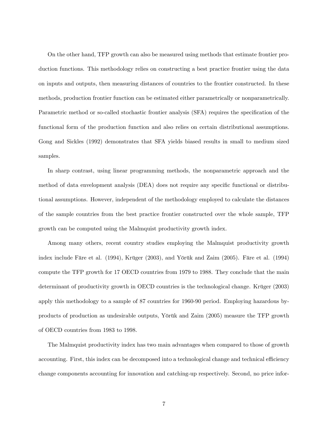On the other hand, TFP growth can also be measured using methods that estimate frontier production functions. This methodology relies on constructing a best practice frontier using the data on inputs and outputs, then measuring distances of countries to the frontier constructed. In these methods, production frontier function can be estimated either parametrically or nonparametrically. Parametric method or so-called stochastic frontier analysis (SFA) requires the specification of the functional form of the production function and also relies on certain distributional assumptions. Gong and Sickles (1992) demonstrates that SFA yields biased results in small to medium sized samples.

In sharp contrast, using linear programming methods, the nonparametric approach and the method of data envelopment analysis (DEA) does not require any specific functional or distributional assumptions. However, independent of the methodology employed to calculate the distances of the sample countries from the best practice frontier constructed over the whole sample, TFP growth can be computed using the Malmquist productivity growth index.

Among many others, recent country studies employing the Malmquist productivity growth index include Färe et al.  $(1994)$ , Krüger  $(2003)$ , and Yörük and Zaim  $(2005)$ . Färe et al.  $(1994)$ compute the TFP growth for 17 OECD countries from 1979 to 1988. They conclude that the main determinant of productivity growth in OECD countries is the technological change. Krüger (2003) apply this methodology to a sample of 87 countries for 1960-90 period. Employing hazardous byproducts of production as undesirable outputs, Yörük and Zaim (2005) measure the TFP growth of OECD countries from 1983 to 1998.

The Malmquist productivity index has two main advantages when compared to those of growth accounting. First, this index can be decomposed into a technological change and technical efficiency change components accounting for innovation and catching-up respectively. Second, no price infor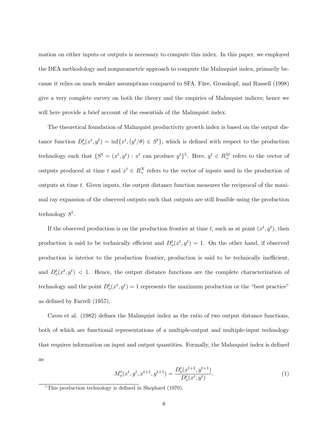mation on either inputs or outputs is necessary to compute this index. In this paper, we employed the DEA methodology and nonparametric approach to compute the Malmquist index, primarily because it relies on much weaker assumptions compared to SFA. Färe, Grosskopf, and Russell (1998) give a very complete survey on both the theory and the empirics of Malmquist indices; hence we will here provide a brief account of the essentials of the Malmquist index.

The theoretical foundation of Malmquist productivity growth index is based on the output distance function  $D_o^t(x^t, y^t) = \inf\{x^t, (y^t/\theta) \in S^t\}$ , which is defined with respect to the production technology such that  $\{S^t = (x^t, y^t) : x^t$  can produce  $y^t\}^5$ . Here,  $y^t \in R_+^M$  refers to the vector of outputs produced at time t and  $x^t \in R_+^N$  refers to the vector of inputs used in the production of outputs at time t. Given inputs, the output distance function measures the reciprocal of the maximal ray expansion of the observed outputs such that outputs are still feasible using the production technology  $S^t$ .

If the observed production is on the production frontier at time t, such as at point  $(x^t, y^t)$ , then production is said to be technically efficient and  $D_o^t(x^t, y^t) = 1$ . On the other hand, if observed production is interior to the production frontier, production is said to be technically inefficient. and  $D_o^t(x^t, y^t)$  < 1. Hence, the output distance functions are the complete characterization of technology and the point  $D_o^t(x^t, y^t) = 1$  represents the maximum production or the "best practice" as defined by Farrell  $(1957)$ .

Caves et al. (1982) defines the Malmquist index as the ratio of two output distance functions. both of which are functional representations of a multiple-output and multiple-input technology that requires information on input and output quantities. Formally, the Malmquist index is defined as

$$
M_o^t(x^t, y^t, x^{t+1}, y^{t+1}) = \frac{D_o^t(x^{t+1}, y^{t+1})}{D_o^t(x^t, y^t)}.
$$
\n
$$
(1)
$$

 $\overline{5}$ This production technology is defined in Shephard (1970).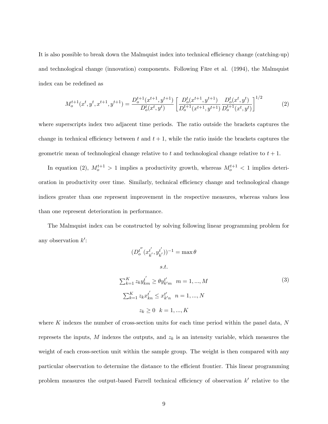It is also possible to break down the Malmquist index into technical efficiency change (catching-up) and technological change (innovation) components. Following Färe et al. (1994), the Malmquist index can be redefined as

$$
M_o^{t+1}(x^t, y^t, x^{t+1}, y^{t+1}) = \frac{D_o^{t+1}(x^{t+1}, y^{t+1})}{D_o^t(x^t, y^t)} \left[ \frac{D_o^t(x^{t+1}, y^{t+1})}{D_o^{t+1}(x^{t+1}, y^{t+1})} \frac{D_o^t(x^t, y^t)}{D_o^{t+1}(x^t, y^t)} \right]^{1/2} \tag{2}
$$

where superscripts index two adjacent time periods. The ratio outside the brackets captures the change in technical efficiency between t and  $t + 1$ , while the ratio inside the brackets captures the geometric mean of technological change relative to t and technological change relative to  $t + 1$ .

In equation (2),  $M_o^{t+1} > 1$  implies a productivity growth, whereas  $M_o^{t+1} < 1$  implies deterioration in productivity over time. Similarly, technical efficiency change and technological change indices greater than one represent improvement in the respective measures, whereas values less than one represent deterioration in performance.

The Malmquist index can be constructed by solving following linear programming problem for any observation  $k'$ :

$$
(D_0^{t''}(x_{k'}^{t'}, y_{k'}^{t'}))^{-1} = \max \theta
$$
  
s.t.  

$$
\sum_{k=1}^{K} z_k y_{km}^{t'} \ge \theta y_{k'm}^{t'} \quad m = 1, ..., M
$$
  

$$
\sum_{k=1}^{K} z_k x_{kn}^{t'} \le x_{k'n}^{t'} \quad n = 1, ..., N
$$
  

$$
z_k \ge 0 \quad k = 1, ..., K
$$
 (3)

where K indexes the number of cross-section units for each time period within the panel data,  $N$ represets the inputs,  $M$  indexes the outputs, and  $z<sub>k</sub>$  is an intensity variable, which measures the weight of each cross-section unit within the sample group. The weight is then compared with any particular observation to determine the distance to the efficient frontier. This linear programming problem measures the output-based Farrell technical efficiency of observation  $k'$  relative to the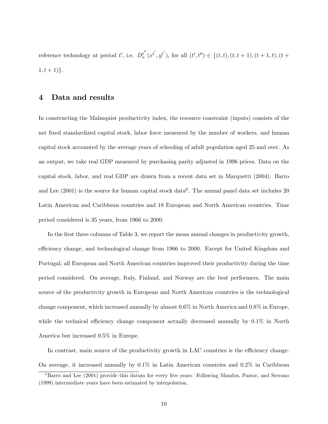reference technology at period  $t'$ , i.e.  $D_0^{t''}$  $t_{o}^{''}(x^{t'}, y^{t'}),$  for all  $(t', t'') \in \{(t, t), (t, t + 1), (t + 1, t), (t +$  $1, t + 1$ }.

#### 4 Data and results

In constructing the Malmquist productivity index, the resource constraint (inputs) consists of the net fixed standardized capital stock, labor force measured by the number of workers, and human capital stock accounted by the average years of schooling of adult population aged 25 and over. As an output, we take real GDP measured by purchasing parity adjusted in 1996 prices. Data on the capital stock, labor, and real GDP are drawn from a recent data set in Marquetti (2004). Barro and Lee  $(2001)$  is the source for human capital stock data<sup>6</sup>. The annual panel data set includes 20 Latin American and Caribbean countries and 18 European and North American countries. Time period considered is 35 years, from 1966 to 2000.

In the first three columns of Table 3, we report the mean annual changes in productivity growth, efficiency change, and technological change from 1966 to 2000. Except for United Kingdom and Portugal, all European and North American countries improved their productivity during the time period considered. On average, Italy, Finland, and Norway are the best performers. The main source of the productivity growth in European and North American countries is the technological change component, which increased annually by almost 0.6% in North America and 0.8% in Europe, while the technical efficiency change component actually decreased annually by  $0.1\%$  in North America but increased 0.5% in Europe.

In contrast, main source of the productivity growth in LAC countries is the efficiency change. On average, it increased annually by 0.1% in Latin American countries and 0.2% in Caribbean

 $6$ Barro and Lee (2001) provide this datum for every five years. Following Maudos, Pastor, and Serrano (1999) intermediate years have been estimated by interpolation.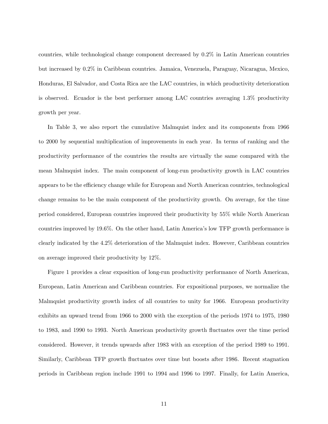countries, while technological change component decreased by 0.2% in Latin American countries but increased by 0.2% in Caribbean countries. Jamaica, Venezuela, Paraguay, Nicaragua, Mexico, Honduras, El Salvador, and Costa Rica are the LAC countries, in which productivity deterioration is observed. Ecuador is the best performer among LAC countries averaging 1.3% productivity growth per year.

In Table 3, we also report the cumulative Malmquist index and its components from 1966 to 2000 by sequential multiplication of improvements in each year. In terms of ranking and the productivity performance of the countries the results are virtually the same compared with the mean Malmquist index. The main component of long-run productivity growth in LAC countries appears to be the efficiency change while for European and North American countries, technological change remains to be the main component of the productivity growth. On average, for the time period considered, European countries improved their productivity by 55% while North American countries improved by 19.6%. On the other hand, Latin Americaís low TFP growth performance is clearly indicated by the 4.2% deterioration of the Malmquist index. However, Caribbean countries on average improved their productivity by 12%.

Figure 1 provides a clear exposition of long-run productivity performance of North American, European, Latin American and Caribbean countries. For expositional purposes, we normalize the Malmquist productivity growth index of all countries to unity for 1966. European productivity exhibits an upward trend from 1966 to 2000 with the exception of the periods 1974 to 1975, 1980 to 1983, and 1990 to 1993. North American productivity growth áuctuates over the time period considered. However, it trends upwards after 1983 with an exception of the period 1989 to 1991. Similarly, Caribbean TFP growth fluctuates over time but boosts after 1986. Recent stagnation periods in Caribbean region include 1991 to 1994 and 1996 to 1997. Finally, for Latin America,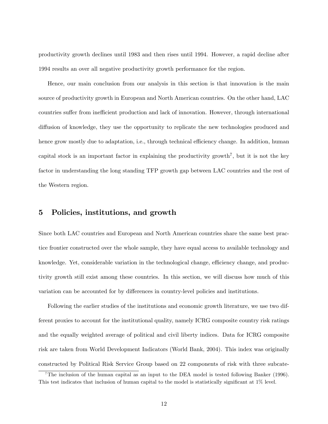productivity growth declines until 1983 and then rises until 1994. However, a rapid decline after 1994 results an over all negative productivity growth performance for the region.

Hence, our main conclusion from our analysis in this section is that innovation is the main source of productivity growth in European and North American countries. On the other hand, LAC countries suffer from inefficient production and lack of innovation. However, through international diffusion of knowledge, they use the opportunity to replicate the new technologies produced and hence grow mostly due to adaptation, i.e., through technical efficiency change. In addition, human capital stock is an important factor in explaining the productivity growth<sup>7</sup>, but it is not the key factor in understanding the long standing TFP growth gap between LAC countries and the rest of the Western region.

#### 5 Policies, institutions, and growth

Since both LAC countries and European and North American countries share the same best practice frontier constructed over the whole sample, they have equal access to available technology and knowledge. Yet, considerable variation in the technological change, efficiency change, and productivity growth still exist among these countries. In this section, we will discuss how much of this variation can be accounted for by differences in country-level policies and institutions.

Following the earlier studies of the institutions and economic growth literature, we use two different proxies to account for the institutional quality, namely ICRG composite country risk ratings and the equally weighted average of political and civil liberty indices. Data for ICRG composite risk are taken from World Development Indicators (World Bank, 2004). This index was originally constructed by Political Risk Service Group based on 22 components of risk with three subcate-

<sup>7</sup>The inclusion of the human capital as an input to the DEA model is tested following Banker (1996). This test indicates that inclusion of human capital to the model is statistically significant at  $1\%$  level.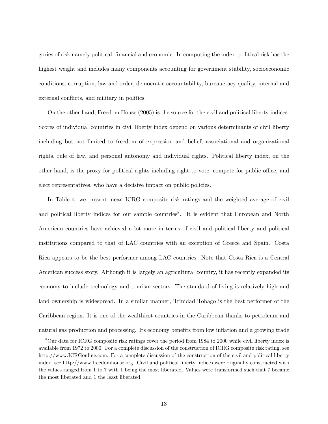gories of risk namely political, financial and economic. In computing the index, political risk has the highest weight and includes many components accounting for government stability, socioeconomic conditions, corruption, law and order, democratic accountability, bureaucracy quality, internal and external conflicts, and military in politics.

On the other hand, Freedom House (2005) is the source for the civil and political liberty indices. Scores of individual countries in civil liberty index depend on various determinants of civil liberty including but not limited to freedom of expression and belief, associational and organizational rights, rule of law, and personal autonomy and individual rights. Political liberty index, on the other hand, is the proxy for political rights including right to vote, compete for public office, and elect representatives, who have a decisive impact on public policies.

In Table 4, we present mean ICRG composite risk ratings and the weighted average of civil and political liberty indices for our sample countries<sup>8</sup>. It is evident that European and North American countries have achieved a lot more in terms of civil and political liberty and political institutions compared to that of LAC countries with an exception of Greece and Spain. Costa Rica appears to be the best performer among LAC countries. Note that Costa Rica is a Central American success story. Although it is largely an agricultural country, it has recently expanded its economy to include technology and tourism sectors. The standard of living is relatively high and land ownership is widespread. In a similar manner, Trinidad Tobago is the best performer of the Caribbean region. It is one of the wealthiest countries in the Caribbean thanks to petroleum and natural gas production and processing. Its economy benefits from low inflation and a growing trade

<sup>8</sup>Our data for ICRG composite risk ratings cover the period from 1984 to 2000 while civil liberty index is available from 1972 to 2000. For a complete discussion of the construction of ICRG composite risk rating, see http://www.ICRGonline.com. For a complete discussion of the construction of the civil and political liberty index, see http://www.freedomhouse.org. Civil and political liberty indices were originally constructed with the values ranged from 1 to 7 with 1 being the most liberated. Values were transformed such that 7 became the most liberated and 1 the least liberated.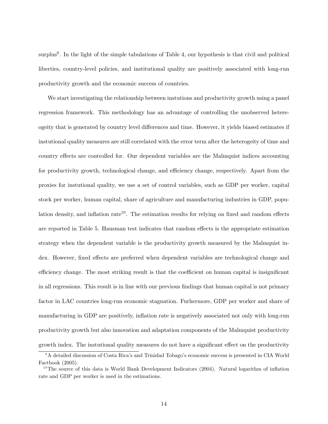surplus<sup>9</sup>. In the light of the simple tabulations of Table 4, our hypothesis is that civil and political liberties, country-level policies, and institutional quality are positively associated with long-run productivity growth and the economic success of countries.

We start investigating the relationship between instutions and productivity growth using a panel regression framework. This methodology has an advantage of controlling the unobserved hetereogeity that is generated by country level differences and time. However, it yields biased estimates if instutional quality measures are still correlated with the error term after the heterogeity of time and country effects are controlled for. Our dependent variables are the Malmquist indices accounting for productivity growth, technological change, and efficiency change, respectively. Apart from the proxies for instutional quality, we use a set of control variables, such as GDP per worker, capital stock per worker, human capital, share of agriculture and manufacturing industries in GDP, population density, and inflation rate<sup>10</sup>. The estimation results for relying on fixed and random effects are reported in Table 5. Hausman test indicates that random effects is the appropriate estimation strategy when the dependent variable is the productivity growth measured by the Malmquist index. However, fixed effects are preferred when dependent variables are technological change and efficiency change. The most striking result is that the coefficient on human capital is insignificant in all regressions. This result is in line with our previous findings that human capital is not primary factor in LAC countries long-run economic stagnation. Furhermore, GDP per worker and share of manufacturing in GDP are positively, inflation rate is negatively associated not only with long-run productivity growth but also innovation and adaptation components of the Malmquist productivity growth index. The instutional quality measures do not have a significant effect on the productivity

<sup>&</sup>lt;sup>9</sup>A detailed discussion of Costa Rica's and Trinidad Tobago's economic success is presented in CIA World Factbook (2005).

<sup>&</sup>lt;sup>10</sup>The source of this data is World Bank Development Indicators (2004). Natural logarithm of inflation rate and GDP per worker is used in the estimations.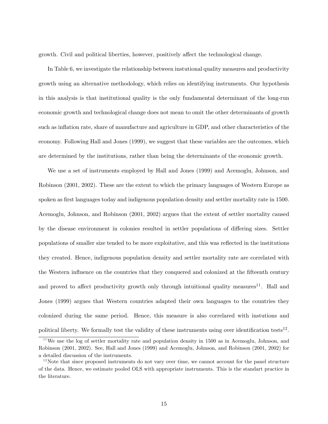growth. Civil and political liberties, however, positively affect the technological change.

In Table 6, we investigate the relationship between instutional quality measures and productivity growth using an alternative methodology, which relies on identifying instruments. Our hypothesis in this analysis is that institutional quality is the only fundamental determinant of the long-run economic growth and technological change does not mean to omit the other determinants of growth such as inflation rate, share of manufacture and agriculture in GDP, and other characteristics of the economy. Following Hall and Jones (1999), we suggest that these variables are the outcomes, which are determined by the institutions, rather than being the determinants of the economic growth.

We use a set of instruments employed by Hall and Jones (1999) and Acemoglu, Johnson, and Robinson (2001, 2002). These are the extent to which the primary languages of Western Europe as spoken as first languages today and indigenous population density and settler mortality rate in 1500. Acemoglu, Johnson, and Robinson (2001, 2002) argues that the extent of settler mortality caused by the disease environment in colonies resulted in settler populations of differing sizes. Settler populations of smaller size tended to be more exploitative, and this was reáected in the institutions they created. Hence, indigenous population density and settler mortality rate are correlated with the Western influence on the countries that they conquered and colonized at the fifteenth century and proved to affect productivity growth only through intuitional quality measures<sup>11</sup>. Hall and Jones (1999) argues that Western countries adapted their own languages to the countries they colonized during the same period. Hence, this measure is also correlared with instutions and political liberty. We formally test the validity of these instruments using over identification tests<sup>12</sup>.

<sup>&</sup>lt;sup>11</sup>We use the log of settler mortality rate and population density in 1500 as in Acemoglu, Johnson, and Robinson (2001, 2002). See, Hall and Jones (1999) and Acemoglu, Johnson, and Robinson (2001, 2002) for a detailed discussion of the instruments.

 $12$ Note that since proposed instruments do not vary over time, we cannot account for the panel structure of the data. Hence, we estimate pooled OLS with appropriate instruments. This is the standart practice in the literature.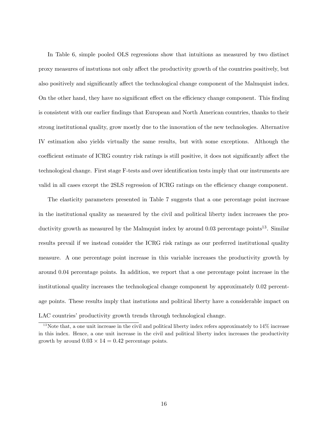In Table 6, simple pooled OLS regressions show that intuitions as measured by two distinct proxy measures of instutions not only a§ect the productivity growth of the countries positively, but also positively and significantly affect the technological change component of the Malmquist index. On the other hand, they have no significant effect on the efficiency change component. This finding is consistent with our earlier Öndings that European and North American countries, thanks to their strong institutional quality, grow mostly due to the innovation of the new technologies. Alternative IV estimation also yields virtually the same results, but with some exceptions. Although the coefficient estimate of ICRG country risk ratings is still positive, it does not significantly affect the technological change. First stage F-tests and over identification tests imply that our instruments are valid in all cases except the 2SLS regression of ICRG ratings on the efficiency change component.

The elasticity parameters presented in Table 7 suggests that a one percentage point increase in the institutional quality as measured by the civil and political liberty index increases the productivity growth as measured by the Malmquist index by around  $0.03$  percentage points<sup>13</sup>. Similar results prevail if we instead consider the ICRG risk ratings as our preferred institutional quality measure. A one percentage point increase in this variable increases the productivity growth by around 0.04 percentage points. In addition, we report that a one percentage point increase in the institutional quality increases the technological change component by approximately 0.02 percentage points. These results imply that instutions and political liberty have a considerable impact on LAC countries' productivity growth trends through technological change.

 $13$ Note that, a one unit increase in the civil and political liberty index refers approximately to  $14\%$  increase in this index. Hence, a one unit increase in the civil and political liberty index increases the productivity growth by around  $0.03 \times 14 = 0.42$  percentage points.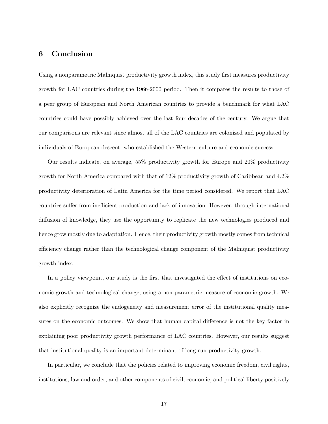#### 6 Conclusion

Using a nonparametric Malmquist productivity growth index, this study first measures productivity growth for LAC countries during the 1966-2000 period. Then it compares the results to those of a peer group of European and North American countries to provide a benchmark for what LAC countries could have possibly achieved over the last four decades of the century. We argue that our comparisons are relevant since almost all of the LAC countries are colonized and populated by individuals of European descent, who established the Western culture and economic success.

Our results indicate, on average, 55% productivity growth for Europe and 20% productivity growth for North America compared with that of 12% productivity growth of Caribbean and 4.2% productivity deterioration of Latin America for the time period considered. We report that LAC countries suffer from inefficient production and lack of innovation. However, through international diffusion of knowledge, they use the opportunity to replicate the new technologies produced and hence grow mostly due to adaptation. Hence, their productivity growth mostly comes from technical efficiency change rather than the technological change component of the Malmquist productivity growth index.

In a policy viewpoint, our study is the first that investigated the effect of institutions on economic growth and technological change, using a non-parametric measure of economic growth. We also explicitly recognize the endogeneity and measurement error of the institutional quality measures on the economic outcomes. We show that human capital difference is not the key factor in explaining poor productivity growth performance of LAC countries. However, our results suggest that institutional quality is an important determinant of long-run productivity growth.

In particular, we conclude that the policies related to improving economic freedom, civil rights, institutions, law and order, and other components of civil, economic, and political liberty positively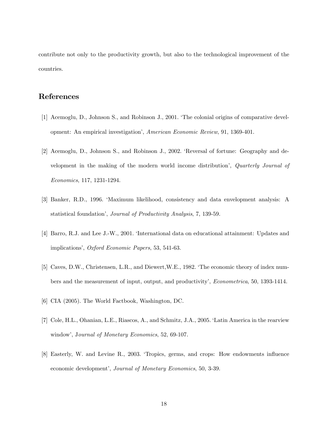contribute not only to the productivity growth, but also to the technological improvement of the countries.

### References

- [1] Acemoglu, D., Johnson S., and Robinson J., 2001. ëThe colonial origins of comparative development: An empirical investigationí, American Economic Review, 91, 1369-401.
- [2] Acemoglu, D., Johnson S., and Robinson J., 2002. ëReversal of fortune: Geography and development in the making of the modern world income distribution', Quarterly Journal of Economics, 117, 1231-1294.
- [3] Banker, R.D., 1996. ëMaximum likelihood, consistency and data envelopment analysis: A statistical foundation', *Journal of Productivity Analysis*, 7, 139-59.
- [4] Barro, R.J. and Lee J.-W., 2001. ëInternational data on educational attainment: Updates and implications', Oxford Economic Papers, 53, 541-63.
- [5] Caves, D.W., Christensen, L.R., and Diewert,W.E., 1982. ëThe economic theory of index numbers and the measurement of input, output, and productivity', *Econometrica*, 50, 1393-1414.
- [6] CIA (2005). The World Factbook, Washington, DC.
- [7] Cole, H.L., Ohanian, L.E., Riascos, A., and Schmitz, J.A., 2005. ëLatin America in the rearview window', Journal of Monetary Economics, 52, 69-107.
- [8] Easterly, W. and Levine R., 2003. 'Tropics, germs, and crops: How endowments influence economic development', Journal of Monetary Economics, 50, 3-39.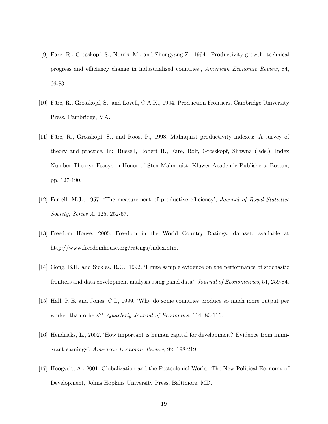- [9] Färe, R., Grosskopf, S., Norris, M., and Zhongyang Z., 1994. 'Productivity growth, technical progress and efficiency change in industrialized countries', American Economic Review, 84, 66-83.
- [10] Färe, R., Grosskopf, S., and Lovell, C.A.K., 1994. Production Frontiers, Cambridge University Press, Cambridge, MA.
- [11] Färe, R., Grosskopf, S., and Roos, P., 1998. Malmquist productivity indexes: A survey of theory and practice. In: Russell, Robert R., Färe, Rolf, Grosskopf, Shawna (Eds.), Index Number Theory: Essays in Honor of Sten Malmquist, Kluwer Academic Publishers, Boston, pp. 127-190.
- [12] Farrell, M.J., 1957. The measurement of productive efficiency', Journal of Royal Statistics Society, Series A, 125, 252-67.
- [13] Freedom House, 2005. Freedom in the World Country Ratings, dataset, available at http://www.freedomhouse.org/ratings/index.htm.
- [14] Gong, B.H. and Sickles, R.C., 1992. ëFinite sample evidence on the performance of stochastic frontiers and data envelopment analysis using panel data', Journal of Econometrics, 51, 259-84.
- [15] Hall, R.E. and Jones, C.I., 1999. ëWhy do some countries produce so much more output per worker than others?', Quarterly Journal of Economics, 114, 83-116.
- [16] Hendricks, L., 2002. ëHow important is human capital for development? Evidence from immigrant earnings', American Economic Review, 92, 198-219.
- [17] Hoogvelt, A., 2001. Globalization and the Postcolonial World: The New Political Economy of Development, Johns Hopkins University Press, Baltimore, MD.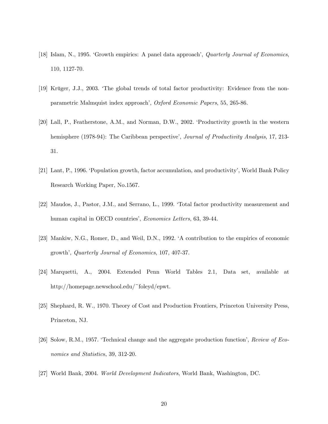- [18] Islam, N., 1995. Growth empirics: A panel data approach', Quarterly Journal of Economics, 110, 1127-70.
- [19] Krüger, J.J., 2003. The global trends of total factor productivity: Evidence from the nonparametric Malmquist index approach', Oxford Economic Papers, 55, 265-86.
- [20] Lall, P., Featherstone, A.M., and Norman, D.W., 2002. ëProductivity growth in the western hemisphere (1978-94): The Caribbean perspective', Journal of Productivity Analysis, 17, 213-31.
- [21] Lant, P., 1996. Population growth, factor accumulation, and productivity', World Bank Policy Research Working Paper, No.1567.
- [22] Maudos, J., Pastor, J.M., and Serrano, L., 1999. ëTotal factor productivity measurement and human capital in OECD countries', *Economics Letters*, 63, 39-44.
- [23] Mankiw, N.G., Romer, D., and Weil, D.N., 1992. ëA contribution to the empirics of economic growth', Quarterly Journal of Economics, 107, 407-37.
- [24] Marquetti, A., 2004. Extended Penn World Tables 2.1, Data set, available at http://homepage.newschool.edu/~foleyd/epwt.
- [25] Shephard, R. W., 1970. Theory of Cost and Production Frontiers, Princeton University Press, Princeton, NJ.
- [26] Solow, R.M., 1957. 'Technical change and the aggregate production function', Review of Economics and Statistics, 39, 312-20.
- [27] World Bank, 2004. World Development Indicators, World Bank, Washington, DC.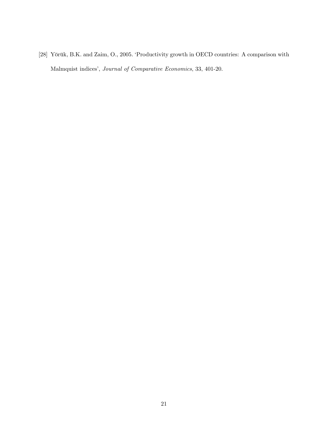[28] Yörük, B.K. and Zaim, O., 2005. 'Productivity growth in OECD countries: A comparison with Malmquist indices', Journal of Comparative Economics, 33, 401-20.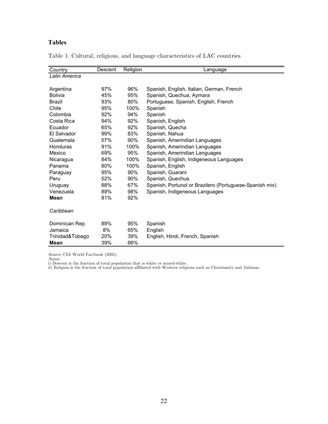### **Tables**

| Country         | Descent | Religion | Language                                                |
|-----------------|---------|----------|---------------------------------------------------------|
| Latin America   |         |          |                                                         |
|                 |         |          |                                                         |
| Argentina       | 97%     | 96%      | Spanish, English, Italian, German, French               |
| <b>Bolivia</b>  | 45%     | 95%      | Spanish, Quechua, Aymara                                |
| Brazil          | 93%     | 80%      | Portuguese, Spanish, English, French                    |
| Chile           | 95%     | 100%     | Spanish                                                 |
| Colombia        | 92%     | 94%      | Spanish                                                 |
| Costa Rica      | 94%     | 92%      | Spanish, English                                        |
| Ecuador         | 65%     | 92%      | Spanish, Quecha                                         |
| El Salvador     | 99%     | 83%      | Spanish, Nahua                                          |
| Guatemala       | 57%     | 90%      | Spanish, Amerindian Languages                           |
| Honduras        | 91%     | 100%     | Spanish, Amerindian Languages                           |
| Mexico          | 69%     | 95%      | Spanish, Amerindian Languages                           |
| Nicaragua       | 84%     | 100%     | Spanish, English, Indigeneous Languages                 |
| Panama          | 80%     | 100%     | Spanish, English                                        |
| Paraguay        | 95%     | 90%      | Spanish, Guarani                                        |
| Peru            | 52%     | 90%      | Spanish, Quechua                                        |
| Uruguay         | 88%     | 67%      | Spanish, Portunol or Brazilero (Portuguese-Spanish mix) |
| Venezuela       | 89%     | 98%      | Spanish, Indigeneous Languages                          |
| Mean            | 81%     | 92%      |                                                         |
| Caribbean       |         |          |                                                         |
| Dominican Rep.  | 89%     | 95%      | Spanish                                                 |
| Jamaica         | 8%      | 65%      | English                                                 |
| Trinidad&Tobago | 20%     | 39%      | English, Hindi, French, Spanish                         |
| Mean            | 39%     | 66%      |                                                         |

Table 1. Cultural, religious, and language characteristics of LAC countries

Source: CIA World Factbook (2005).<br>*Notes:*<br>i) Descent is the fraction of total population that is white or mixed-white.<br>ii) Religion is the fraction of total population affiliated with Western religions such as Christiani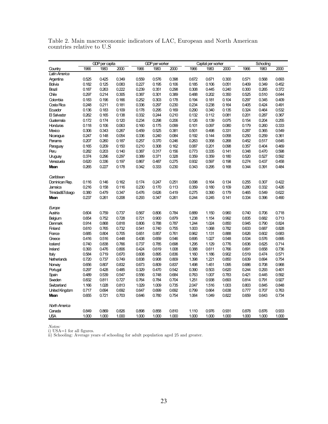|                       |       | <b>GDP</b> per capita |       | GDP per worker |       |       | Capital per worker |       |       | Schooling |       |       |
|-----------------------|-------|-----------------------|-------|----------------|-------|-------|--------------------|-------|-------|-----------|-------|-------|
| Country               | 1966  | 1983                  | 2000  | 1966           | 1983  | 2000  | 1966               | 1983  | 2000  | 1966      | 1983  | 2000  |
| Latin America         |       |                       |       |                |       |       |                    |       |       |           |       |       |
| Argentina             | 0.525 | 0.425                 | 0.349 | 0.559          | 0.576 | 0.398 | 0.672              | 0.671 | 0.300 | 0.571     | 0.568 | 0.693 |
| Bolivia               | 0.182 | 0.125                 | 0.083 | 0.227          | 0.195 | 0.106 | 0.185              | 0.106 | 0.051 | 0.409     | 0.349 | 0.452 |
| Brazil                | 0.187 | 0.263                 | 0.222 | 0.239          | 0.351 | 0.298 | 0.308              | 0.445 | 0.240 | 0.300     | 0.265 | 0.372 |
| Chile                 | 0.297 | 0.214                 | 0.305 | 0.387          | 0.301 | 0.389 | 0.488              | 0.202 | 0.350 | 0.525     | 0.510 | 0.644 |
| Colombia              | 0.183 | 0.196                 | 0.166 | 0.252          | 0.303 | 0.178 | 0.194              | 0.181 | 0.104 | 0.297     | 0.345 | 0.409 |
| Costa Rica            | 0.248 | 0.211                 | 0.181 | 0.336          | 0.297 | 0.230 | 0.234              | 0.238 | 0.164 | 0.405     | 0.424 | 0.491 |
| Ecuador               | 0.136 | 0.183                 | 0.109 | 0.178          | 0.295 | 0.169 | 0.290              | 0.340 | 0.135 | 0.324     | 0.464 | 0.532 |
| <b>日 Salvador</b>     | 0.262 | 0.165                 | 0.138 | 0.332          | 0.244 | 0.210 | 0.132              | 0.112 | 0.081 | 0.201     | 0.287 | 0.367 |
| Guatemala             | 0.172 | 0.174                 | 0.120 | 0.234          | 0.298 | 0.206 | 0.126              | 0.139 | 0.075 | 0.154     | 0.204 | 0.255 |
| <b>Honduras</b>       | 0.118 | 0.106                 | 0.063 | 0.160          | 0.175 | 0.099 | 0.101              | 0.097 | 0.080 | 0.179     | 0.260 | 0.333 |
| Mexico                | 0.306 | 0.343                 | 0.267 | 0.459          | 0.525 | 0.381 | 0.501              | 0.498 | 0.331 | 0.287     | 0.365 | 0.549 |
| Nicaragua             | 0.247 | 0.148                 | 0.054 | 0.336          | 0.240 | 0.084 | 0.192              | 0.144 | 0.058 | 0.250     | 0.259 | 0.361 |
| Panama                | 0.207 | 0.260                 | 0.187 | 0.257          | 0.370 | 0.246 | 0.263              | 0.358 | 0.268 | 0.452     | 0.517 | 0.645 |
| Paraguay              | 0.165 | 0.209                 | 0.150 | 0.210          | 0.308 | 0.162 | 0.087              | 0.201 | 0.098 | 0.357     | 0.404 | 0.469 |
| Peru                  | 0.282 | 0.203                 | 0.140 | 0.387          | 0.317 | 0.156 | 0.773              | 0.335 | 0.141 | 0.348     | 0.470 | 0.598 |
| Uruguay               | 0.374 | 0.296                 | 0.297 | 0.389          | 0.371 | 0.328 | 0.359              | 0.359 | 0.180 | 0.520     | 0.527 | 0.592 |
| Venezuela             | 0.620 | 0.336                 | 0.197 | 0.867          | 0.487 | 0.275 | 0.932              | 0.597 | 0.198 | 0.274     | 0.437 | 0.458 |
| Mean                  | 0.265 | 0.227                 | 0.178 | 0.342          | 0.333 | 0.230 | 0.343              | 0.295 | 0.168 | 0.344     | 0.391 | 0.484 |
| Caribbean             |       |                       |       |                |       |       |                    |       |       |           |       |       |
| Dominican Rep.        | 0.116 | 0.146                 | 0.162 | 0.174          | 0.247 | 0.251 | 0.098              | 0.164 | 0.134 | 0.255     | 0.307 | 0.422 |
| Jamaica               | 0.216 | 0.158                 | 0.116 | 0.230          | 0.170 | 0.113 | 0.359              | 0.180 | 0.109 | 0.280     | 0.332 | 0.426 |
| Trinidad&Tobago       | 0.380 | 0.479                 | 0.347 | 0.476          | 0.626 | 0.419 | 0.275              | 0.390 | 0.179 | 0.465     | 0.549 | 0.622 |
| Mean                  | 0.237 | 0.261                 | 0.208 | 0.293          | 0.347 | 0.261 | 0.244              | 0.245 | 0.141 | 0.334     | 0.396 | 0.490 |
| Europe                |       |                       |       |                |       |       |                    |       |       |           |       |       |
| Austria               | 0.604 | 0.759                 | 0.737 | 0.567          | 0.806 | 0.784 | 0.889              | 1.150 | 0.960 | 0.740     | 0.706 | 0.718 |
| Belgium               | 0.654 | 0.752                 | 0.728 | 0.721          | 0.900 | 0.879 | 1.238              | 1.154 | 0.992 | 0.835     | 0.682 | 0.713 |
| <b>Denmark</b>        | 0.914 | 0.868                 | 0.818 | 0.806          | 0.788 | 0.787 | 1.244              | 1.024 | 0.850 | 0.945     | 0.790 | 0.824 |
| Finland               | 0.610 | 0.765                 | 0.732 | 0.541          | 0.740 | 0.755 | 1.003              | 1.068 | 0.782 | 0.633     | 0.687 | 0.828 |
| France                | 0.685 | 0.804                 | 0.705 | 0.651          | 0.857 | 0.761 | 0.962              | 1.131 | 0.888 | 0.626     | 0.602 | 0.683 |
| Greece                | 0.416 | 0.516                 | 0.448 | 0.438          | 0.659 | 0.546 | 0.695              | 1.027 | 0.548 | 0.534     | 0.576 | 0.695 |
| loeland               | 0.740 | 0.838                 | 0.766 | 0.737          | 0.785 | 0.698 | 1.295              | 1.129 | 0.776 | 0.636     | 0.625 | 0.714 |
| Ireland               | 0.393 | 0.476                 | 0.806 | 0.424          | 0.619 | 1.008 | 0.388              | 0.611 | 0.766 | 0.691     | 0.658 | 0.736 |
| Italy                 | 0.584 | 0.719                 | 0.670 | 0.608          | 0.895 | 0.836 | 1.160              | 1.186 | 0.902 | 0.519     | 0.474 | 0.571 |
| Netherlands           | 0.720 | 0.737                 | 0.749 | 0.838          | 0.908 | 0.809 | 1.398              | 1.221 | 0.850 | 0.639     | 0.694 | 0.754 |
| Norway                | 0.656 | 0.807                 | 0.832 | 0.673          | 0.809 | 0.837 | 1.498              | 1.451 | 1.095 | 0.686     | 0.708 | 0.968 |
| Portugal              | 0.297 | 0.428                 | 0.485 | 0.329          | 0.470 | 0.542 | 0.390              | 0.503 | 0.620 | 0.244     | 0.293 | 0.401 |
| Spain                 | 0.489 | 0.539                 | 0.547 | 0.556          | 0.748 | 0.684 | 0.763              | 1.007 | 0.783 | 0.421     | 0.445 | 0.592 |
| Sweden                | 0.832 | 0.811                 | 0.727 | 0.764          | 0.784 | 0.704 | 1.251              | 0.938 | 0.693 | 0.814     | 0.791 | 0.927 |
| Switzerland           | 1.166 | 1.028                 | 0.813 | 1.029          | 1.009 | 0.735 | 2.047              | 1.516 | 1.003 | 0.803     | 0.845 | 0.848 |
| <b>United Kingdom</b> | 0.717 | 0.694                 | 0.692 | 0.647          | 0.699 | 0.692 | 0.799              | 0.664 | 0.638 | 0.777     | 0.707 | 0.763 |
| Mean                  | 0.655 | 0.721                 | 0.703 | 0.646          | 0.780 | 0.754 | 1.064              | 1.049 | 0.822 | 0.659     | 0.643 | 0.734 |
| <b>North America</b>  |       |                       |       |                |       |       |                    |       |       |           |       |       |
| Canada                | 0.849 | 0.869                 | 0.826 | 0.898          | 0.858 | 0.810 | 1.110              | 0.976 | 0.931 | 0.878     | 0.876 | 0.933 |
| <b>USA</b>            | 1.000 | 1.000                 | 1.000 | 1.000          | 1.000 | 1.000 | 1.000              | 1.000 | 1.000 | 1.000     | 1.000 | 1.000 |

Table 2. Main macroeconomic indicators of LAC, European and North American countries relative to U.S

Notes:<br>i) USA=1 for all figures.<br>ii) Schooling: Average years of schooling for adult population aged 25 and greater.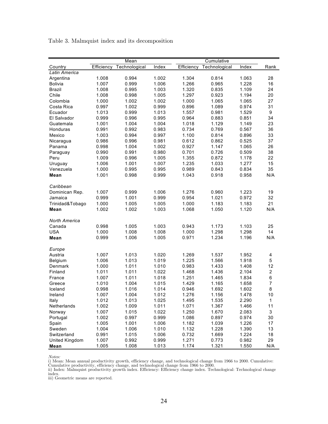|                      |            | Mean          |       |            | Cumulative    |       |                  |  |  |
|----------------------|------------|---------------|-------|------------|---------------|-------|------------------|--|--|
| Country              | Efficiency | Technological | Index | Efficiency | Technological | Index | Rank             |  |  |
| Latin America        |            |               |       |            |               |       |                  |  |  |
| Argentina            | 1.008      | 0.994         | 1.002 | 1.304      | 0.814         | 1.063 | 28               |  |  |
| <b>Bolivia</b>       | 1.007      | 0.999         | 1.006 | 1.266      | 0.965         | 1.228 | 16               |  |  |
| <b>Brazil</b>        | 1.008      | 0.995         | 1.003 | 1.320      | 0.835         | 1.109 | 24               |  |  |
| Chile                | 1.008      | 0.998         | 1.005 | 1.297      | 0.923         | 1.194 | 20               |  |  |
| Colombia             | 1.000      | 1.002         | 1.002 | 1.000      | 1.065         | 1.065 | 27               |  |  |
| Costa Rica           | 0.997      | 1.002         | 0.999 | 0.896      | 1.089         | 0.974 | 31               |  |  |
| Ecuador              | 1.013      | 0.999         | 1.013 | 1.557      | 0.981         | 1.529 | 9                |  |  |
| El Salvador          | 0.999      | 0.996         | 0.995 | 0.964      | 0.883         | 0.851 | 34               |  |  |
| Guatemala            | 1.001      | 1.004         | 1.004 | 1.018      | 1.129         | 1.149 | 23               |  |  |
| Honduras             | 0.991      | 0.992         | 0.983 | 0.734      | 0.769         | 0.567 | 36               |  |  |
| Mexico               | 1.003      | 0.994         | 0.997 | 1.100      | 0.814         | 0.896 | 33               |  |  |
| Nicaragua            | 0.986      | 0.996         | 0.981 | 0.612      | 0.862         | 0.525 | 37               |  |  |
| Panama               | 0.998      | 1.004         | 1.002 | 0.927      | 1.147         | 1.065 | 26               |  |  |
| Paraguay             | 0.990      | 0.991         | 0.980 | 0.701      | 0.726         | 0.509 | 38               |  |  |
| Peru                 | 1.009      | 0.996         | 1.005 | 1.355      | 0.872         | 1.178 | 22               |  |  |
| Uruguay              | 1.006      | 1.001         | 1.007 | 1.235      | 1.033         | 1.277 | 15               |  |  |
| Venezuela            | 1.000      | 0.995         | 0.995 | 0.989      | 0.843         | 0.834 | 35               |  |  |
| Mean                 | 1.001      | 0.998         | 0.999 | 1.043      | 0.918         | 0.958 | N/A              |  |  |
|                      |            |               |       |            |               |       |                  |  |  |
| Caribbean            |            |               |       |            |               |       |                  |  |  |
| Dominican Rep.       | 1.007      | 0.999         | 1.006 | 1.276      | 0.960         | 1.223 | 19               |  |  |
| Jamaica              | 0.999      | 1.001         | 0.999 | 0.954      | 1.021         | 0.972 | 32               |  |  |
| Trinidad&Tobago      | 1.000      | 1.005         | 1.005 | 1.000      | 1.183         | 1.183 | 21               |  |  |
| Mean                 | 1.002      | 1.002         | 1.003 | 1.068      | 1.050         | 1.120 | N/A              |  |  |
|                      |            |               |       |            |               |       |                  |  |  |
| <b>North America</b> |            |               |       |            |               |       |                  |  |  |
| Canada               | 0.998      | 1.005         | 1.003 | 0.943      | 1.173         | 1.103 | 25               |  |  |
| <b>USA</b>           | 1.000      | 1.008         | 1.008 | 1.000      | 1.298         | 1.298 | 14               |  |  |
| Mean                 | 0.999      | 1.006         | 1.005 | 0.971      | 1.234         | 1.196 | N/A              |  |  |
|                      |            |               |       |            |               |       |                  |  |  |
| Europe               |            |               |       |            |               |       |                  |  |  |
| Austria              | 1.007      | 1.013         | 1.020 | 1.269      | 1.537         | 1.952 | 4                |  |  |
| Belgium              | 1.006      | 1.013         | 1.019 | 1.225      | 1.566         | 1.918 | 5                |  |  |
| Denmark              | 1.000      | 1.011         | 1.010 | 0.983      | 1.433         | 1.408 | 12               |  |  |
| Finland              | 1.011      | 1.011         | 1.022 | 1.468      | 1.436         | 2.104 | $\boldsymbol{2}$ |  |  |
| France               | 1.007      | 1.011         | 1.018 | 1.251      | 1.465         | 1.834 | 6                |  |  |
| Greece               | 1.010      | 1.004         | 1.015 | 1.429      | 1.165         | 1.658 | $\overline{7}$   |  |  |
| Iceland              | 0.998      | 1.016         | 1.014 | 0.946      | 1.692         | 1.602 | 8                |  |  |
| Ireland              | 1.007      | 1.004         | 1.012 | 1.276      | 1.156         | 1.478 | 10               |  |  |
| Italy                | 1.012      | 1.013         | 1.025 | 1.495      | 1.535         | 2.290 | $\mathbf{1}$     |  |  |
| Netherlands          | 1.002      | 1.009         | 1.011 | 1.071      | 1.367         | 1.466 | 11               |  |  |
| Norway               | 1.007      | 1.015         | 1.022 | 1.250      | 1.670         | 2.083 | 3                |  |  |
| Portugal             | 1.002      | 0.997         | 0.999 | 1.086      | 0.897         | 0.974 | 30               |  |  |
| Spain                | 1.005      | 1.001         | 1.006 | 1.182      | 1.039         | 1.226 | 17               |  |  |
| Sweden               | 1.004      | 1.006         | 1.010 | 1.132      | 1.228         | 1.390 | 13               |  |  |
| Switzerland          | 0.991      | 1.015         | 1.006 | 0.732      | 1.669         | 1.224 | 18               |  |  |
| United Kingdom       | 1.007      | 0.992         | 0.999 | 1.271      | 0.773         | 0.982 | 29               |  |  |
| Mean                 | 1.005      | 1.008         | 1.013 | 1.174      | 1.321         | 1.550 | N/A              |  |  |

Table 3. Malmquist index and its decomposition

*Notes:*<br>i) Mean: Mean annual productivity growth, efficiency change, and technological change from 1966 to 2000. Cumulative:

Cumulative productivity, efficiency change, and technological change from 1966 to 2000. ii) Index: Malmquist productivity growth index. Efficiency: Efficiency change index. Technological: Technological change index.

iii) Geometric means are reported.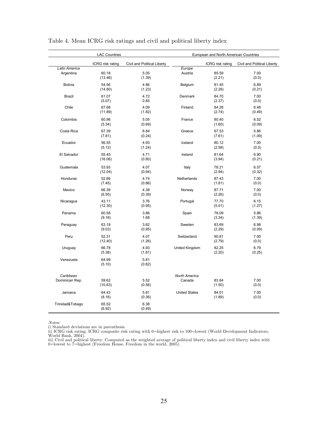|                             | <b>LAC Countries</b> | European and North American Countries |                                |                  |                             |
|-----------------------------|----------------------|---------------------------------------|--------------------------------|------------------|-----------------------------|
|                             | ICRG risk rating     | Civil and Political Liberty           |                                | ICRG risk rating | Civil and Political Liberty |
| Latin America<br>Argentina  | 60.18<br>(13.46)     | 5.05<br>(1.39)                        | Europe<br>Austria              | 85.59<br>(2.21)  | 7.00<br>(0.0)               |
| <b>Bolivia</b>              | 54.56<br>(14.80)     | 4.86<br>(1.23)                        | Belgium                        | 81.45<br>(2.28)  | 6.89<br>(0.21)              |
| <b>Brazil</b>               | 61.07<br>(5.07)      | 4.72<br>0.85                          | Denmark                        | 84.70<br>(2.37)  | 7.00<br>(0.0)               |
| Chile                       | 67.68<br>(11.89)     | 4.09<br>(1.82)                        | Finland                        | 84.28<br>(2.74)  | 6.48<br>(0.49)              |
| Colombia                    | 60.96<br>(5.34)      | 5.05<br>(0.69)                        | France                         | 80.40<br>(1.60)  | 6.52<br>(0.09)              |
| Costa Rica                  | 67.39<br>(7.81)      | 6.84<br>(0.24)                        | Greece                         | 67.53<br>(7.61)  | 5.86<br>(1.09)              |
| Ecuador                     | 56.55<br>(5.12)      | 4.93<br>(1.24)                        | Iceland                        | 80.12<br>(2.58)  | 7.00<br>(0.0)               |
| El Salvador                 | 55.45<br>(16.06)     | 4.71<br>(0.80)                        | Ireland                        | 81.64<br>(3.94)  | 6.90<br>(0.21)              |
| Guatemala                   | 53.93<br>(12.04)     | 4.07<br>(0.94)                        | Italy                          | 78.21<br>(2.94)  | 6.57<br>(0.32)              |
| Honduras                    | 52.86<br>(7.45)      | 4.74<br>(0.86)                        | Netherlands                    | 87.43<br>(1.81)  | 7.00<br>(0.0)               |
| Mexico                      | 66.39<br>(6.55)      | 4.38<br>(0.39)                        | Norway                         | 87.71<br>(2.26)  | 7.00<br>(0.0)               |
| Nicaragua                   | 43.11<br>(12.30)     | 3.76<br>(0.95)                        | Portugal                       | 77.70<br>(5.01)  | 6.15<br>(1.27)              |
| Panama                      | 60.58<br>(9.18)      | 3.86<br>1.68                          | Spain                          | 76.09<br>(3.34)  | 5.86<br>(1.39)              |
| Paraguay                    | 63.18<br>(9.03)      | 3.62<br>(0.95)                        | Sweden                         | 83.69<br>(2.29)  | 6.98<br>(0.09)              |
| Peru                        | 52.31<br>(12.40)     | 4.07<br>(1.26)                        | Switzerland                    | 90.81<br>(2.79)  | 7.00<br>(0.0)               |
| Uruguay                     | 66.78<br>(5.38)      | 4.93<br>(1.81)                        | United Kingdom                 | 82.25<br>(2.20)  | 6.79<br>(0.25)              |
| Venezuela                   | 64.99<br>(5.10)      | 5.81<br>(0.82)                        |                                |                  |                             |
| Caribbean<br>Dominican Rep. | 59.62<br>(10.63)     | 5.52<br>(0.56)                        | <b>North America</b><br>Canada | 83.84<br>(1.50)  | 7.00<br>(0.0)               |
| Jamaica                     | 64.43<br>(8.16)      | 5.81<br>(0.36)                        | <b>United States</b>           | 84.01<br>(1.89)  | 7.00<br>(0.0)               |
| Trinidad&Tobago             | 65.52<br>(6.92)      | 6.38<br>(0.49)                        |                                |                  |                             |

Table 4. Mean ICRG risk ratings and civil and political liberty index

*Notes:*<br>i) Standard deviations are in parenthesis.<br>ii) ICRG risk rating: ICRG composite risk rating with 0=highest risk to 100=lowest (World Development Indicators,<br>World Bank, 2004).

iii) Civil and political liberty: Computed as the weighted average of political liberty index and civil liberty index with 0=lowest to 7=highest (Freedom House, Freedom in the world, 2005).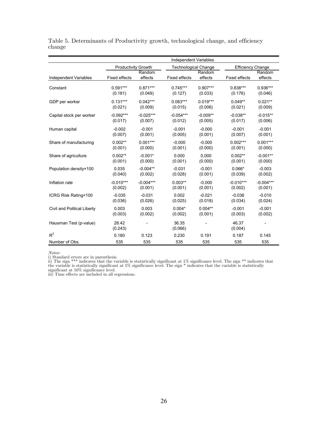|                              |                      |                   | <b>Independent Variables</b> |                   |                          |                   |
|------------------------------|----------------------|-------------------|------------------------------|-------------------|--------------------------|-------------------|
|                              | Productivity Growth  |                   | <b>Technological Change</b>  |                   | <b>Efficiency Change</b> |                   |
| <b>Independent Variables</b> | <b>Fixed effects</b> | Random<br>effects | <b>Fixed effects</b>         | Random<br>effects | <b>Fixed effects</b>     | Random<br>effects |
| Constant                     | $0.591***$           | $0.871***$        | $0.745***$                   | $0.907***$        | $0.838***$               | 0.936***          |
|                              | (0.181)              | (0.049)           | (0.127)                      | (0.033)           | (0.176)                  | (0.046)           |
| GDP per worker               | $0.131***$           | $0.042***$        | $0.083***$                   | $0.019***$        | $0.049**$                | $0.021**$         |
|                              | (0.021)              | (0.009)           | (0.015)                      | (0.006)           | (0.021)                  | (0.009)           |
| Capital stock per worker     | $-0.092***$          | $-0.025***$       | $-0.054***$                  | $-0.009**$        | $-0.038**$               | $-0.015**$        |
|                              | (0.017)              | (0.007)           | (0.012)                      | (0.005)           | (0.017)                  | (0.006)           |
| Human capital                | $-0.002$             | $-0.001$          | $-0.001$                     | $-0.000$          | $-0.001$                 | $-0.001$          |
|                              | (0.007)              | (0.001)           | (0.005)                      | (0.001)           | (0.007)                  | (0.001)           |
| Share of manufacturing       | $0.002**$            | $0.001***$        | $-0.000$                     | $-0.000$          | $0.002***$               | $0.001***$        |
|                              | (0.001)              | (0.000)           | (0.001)                      | (0.000)           | (0.001)                  | (0.000)           |
| Share of agriculture         | $0.002**$            | $-0.001*$         | 0.000                        | 0.000             | $0.002**$                | $-0.001**$        |
|                              | (0.001)              | (0.000)           | (0.001)                      | (0.000)           | (0.001)                  | (0.000)           |
| Population density×100       | 0.035                | $-0.004**$        | $-0.031$                     | $-0.001$          | $0.066*$                 | $-0.003$          |
|                              | (0.040)              | (0.002)           | (0.028)                      | (0.001)           | (0.039)                  | (0.002)           |
| Inflation rate               | $-0.010***$          | $-0.004***$       | $0.003**$                    | $-0.000$          | $-0.010***$              | $-0.004***$       |
|                              | (0.002)              | (0.001)           | (0.001)                      | (0.001)           | (0.002)                  | (0.001)           |
| ICRG Risk Rating×100         | $-0.035$             | $-0.031$          | 0.002                        | $-0.021$          | $-0.036$                 | $-0.010$          |
|                              | (0.036)              | (0.026)           | (0.025)                      | (0.018)           | (0.034)                  | (0.024)           |
| Civil and Political Liberty  | 0.003                | 0.003             | $0.004*$                     | $0.004**$         | $-0.001$                 | $-0.001$          |
|                              | (0.003)              | (0.002)           | (0.002)                      | (0.001)           | (0.003)                  | (0.002)           |
| Hausman Test (p-value)       | 28.42<br>(0.243)     |                   | 36.35<br>(0.066)             |                   | 46.37<br>(0.004)         |                   |
| $R^2$                        | 0.180                | 0.123             | 0.230                        | 0.191             | 0.187                    | 0.145             |
| Number of Obs.               | 535                  | 535               | 535                          | 535               | 535                      | 535               |

Table 5. Determinants of Productivity growth, technological change, and efficiency change

Notes:

i) Standard errors are in parenthesis.<br>ii) The sign \*\*\* indicates that the variable is statistically significant at 1% significance level. The sign \*\* indicates that<br>the variable is statistically significant at 5% signific

significant at 10% significance level. iii) Time effects are included in all regressions.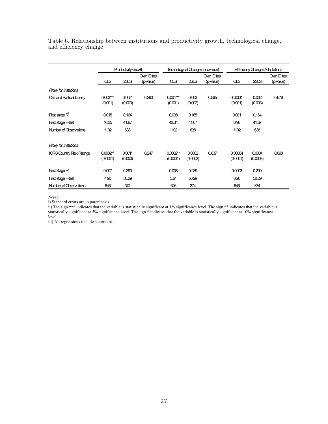|                                    | Productivity Growth    |                     |                           |                        | Technological Change (Innovation) |                           |                      | Effficiency Change (Adaptation) |                           |  |
|------------------------------------|------------------------|---------------------|---------------------------|------------------------|-----------------------------------|---------------------------|----------------------|---------------------------------|---------------------------|--|
|                                    | αs                     | 2SLS                | Over ID test<br>(p-value) | ΟLS                    | 2SLS                              | Over ID test<br>(p-value) | ΟLS                  | 2SLS                            | Over ID test<br>(p-value) |  |
| Proxy for Instutions               |                        |                     |                           |                        |                                   |                           |                      |                                 |                           |  |
| <b>Civil and Political Liberty</b> | $0.003***$<br>(0.001)  | $0.005*$<br>(0.003) | 0.290                     | $0.004***$<br>(0.001)  | 0.003<br>(0.002)                  | 0.565                     | $-0.0001$<br>(0.001) | 0.002<br>(0.003)                | 0.676                     |  |
| First stage $R^2$                  | 0.015                  | 0.164               |                           | 0.038                  | 0.165                             |                           | 0.001                | 0.164                           |                           |  |
| First stage F-test                 | 16.35                  | 41.67               |                           | 43.34                  | 41.67                             |                           | 0.98                 | 41.67                           |                           |  |
| Number of Observations             | 1102                   | 638                 |                           | 1102                   | 638                               |                           | 1102                 | 638                             |                           |  |
| Proxy for Instutions               |                        |                     |                           |                        |                                   |                           |                      |                                 |                           |  |
| <b>ICRG Country Risk Ratings</b>   | $0.0002**$<br>(0.0001) | $0.001*$<br>(0.000) | 0.247                     | $0.0002**$<br>(0.0001) | 0.0002<br>(0.0002)                | 0.837                     | 0.00004<br>(0.0001)  | 0.0004<br>(0.0003)              | 0.098                     |  |
| First stage $R^2$                  | 0.007                  | 0.290               |                           | 0.008                  | 0.289                             |                           | 0.0003               | 0.290                           |                           |  |
| First stage F-test                 | 4.90                   | 50.29               |                           | 5.61                   | 50.29                             |                           | 0.20                 | 50.29                           |                           |  |
| Number of Observations             | 646                    | 374                 |                           | 646                    | 374                               |                           | 646                  | 374                             |                           |  |

Table 6. Relationship between institutions and productivity growth, technological change, and efficiency change

*Notes:* 

i) Standard errors are in parenthesis.

ii) The sign \*\*\* indicates that the variable is statistically significant at 1% significance level. The sign \*\* indicates that the variable is statistically significant at 5% significance level. The sign \* indicates that the variable is statistically significant at 10% significance level.

iii) All regressions include a constant.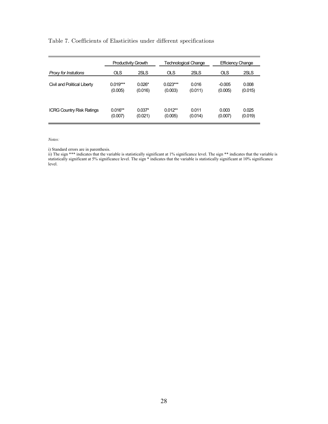#### Table 7. Coefficients of Elasticities under different specifications

|                                  | <b>Productivity Growth</b> |          | <b>Technological Change</b> |         | <b>Efficiency Change</b> |         |
|----------------------------------|----------------------------|----------|-----------------------------|---------|--------------------------|---------|
| Proxy for Instutions             | <b>OLS</b>                 | 2SLS     | <b>OLS</b>                  | 2SLS    | <b>OLS</b>               | 2SLS    |
| Civil and Political Liberty      | $0.019***$                 | $0.026*$ | $0.023***$                  | 0.016   | $-0.005$                 | 0.008   |
|                                  | (0.005)                    | (0.016)  | (0.003)                     | (0.011) | (0.005)                  | (0.015) |
| <b>ICRG Country Risk Ratings</b> | $0.016**$                  | $0.037*$ | $0.012**$                   | 0.011   | 0.003                    | 0.025   |
|                                  | (0.007)                    | (0.021)  | (0.005)                     | (0.014) | (0.007)                  | (0.019) |

*Notes:*

i) Standard errors are in parenthesis.

ii) The sign \*\*\* indicates that the variable is statistically significant at 1% significance level. The sign \*\* indicates that the variable is statistically significant at 5% significance level. The sign \* indicates that the variable is statistically significant at 10% significance level.